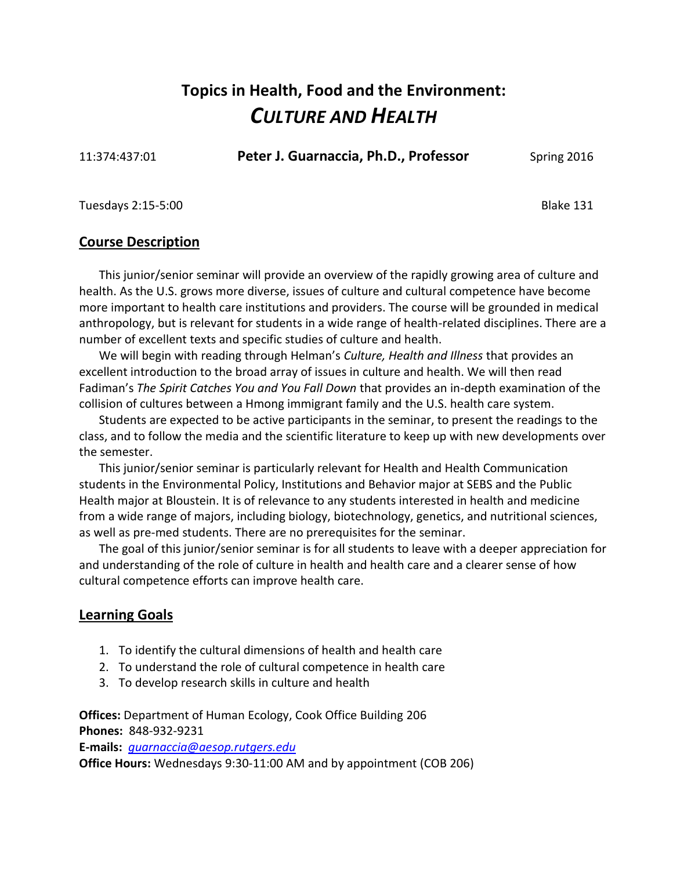## **Topics in Health, Food and the Environment:** *CULTURE AND HEALTH*

11:374:437:01 **Peter J. Guarnaccia, Ph.D., Professor** Spring 2016

Tuesdays 2:15-5:00 Blake 131

#### **Course Description**

This junior/senior seminar will provide an overview of the rapidly growing area of culture and health. As the U.S. grows more diverse, issues of culture and cultural competence have become more important to health care institutions and providers. The course will be grounded in medical anthropology, but is relevant for students in a wide range of health-related disciplines. There are a number of excellent texts and specific studies of culture and health.

We will begin with reading through Helman's *Culture, Health and Illness* that provides an excellent introduction to the broad array of issues in culture and health. We will then read Fadiman's *The Spirit Catches You and You Fall Down* that provides an in-depth examination of the collision of cultures between a Hmong immigrant family and the U.S. health care system.

Students are expected to be active participants in the seminar, to present the readings to the class, and to follow the media and the scientific literature to keep up with new developments over the semester.

This junior/senior seminar is particularly relevant for Health and Health Communication students in the Environmental Policy, Institutions and Behavior major at SEBS and the Public Health major at Bloustein. It is of relevance to any students interested in health and medicine from a wide range of majors, including biology, biotechnology, genetics, and nutritional sciences, as well as pre-med students. There are no prerequisites for the seminar.

The goal of this junior/senior seminar is for all students to leave with a deeper appreciation for and understanding of the role of culture in health and health care and a clearer sense of how cultural competence efforts can improve health care.

### **Learning Goals**

- 1. To identify the cultural dimensions of health and health care
- 2. To understand the role of cultural competence in health care
- 3. To develop research skills in culture and health

**Offices:** Department of Human Ecology, Cook Office Building 206 **Phones:** 848-932-9231

**E-mails:** *[guarnaccia@aesop.rutgers.edu](mailto:guarnaccia@aesop.rutgers.edu)*

**Office Hours:** Wednesdays 9:30-11:00 AM and by appointment (COB 206)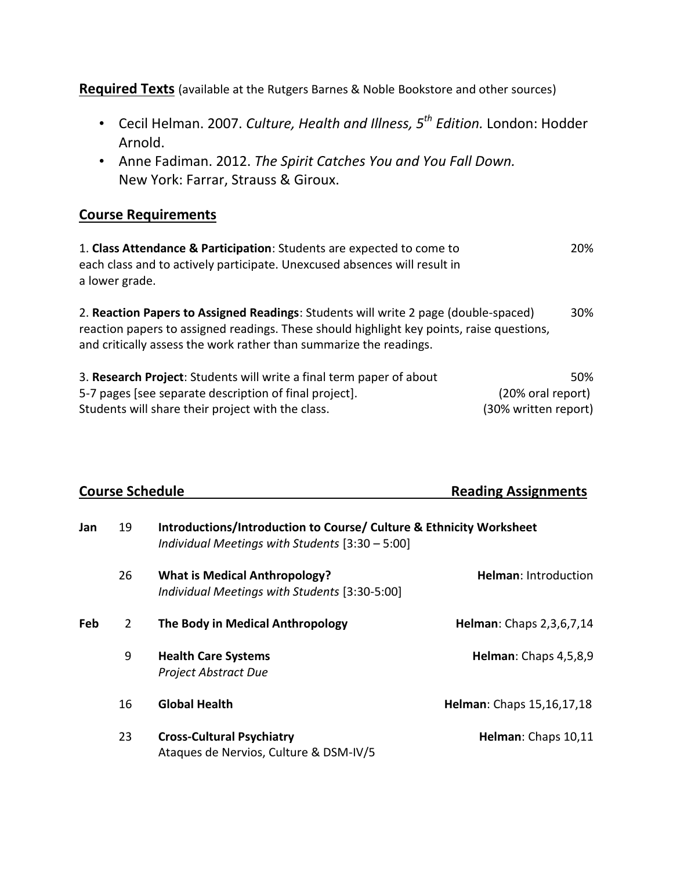**Required Texts** (available at the Rutgers Barnes & Noble Bookstore and other sources)

- Cecil Helman. 2007. *Culture, Health and Illness, 5th Edition.* London: Hodder Arnold.
- Anne Fadiman. 2012. *The Spirit Catches You and You Fall Down.* New York: Farrar, Strauss & Giroux.

#### **Course Requirements**

1. **Class Attendance & Participation**: Students are expected to come to 20% each class and to actively participate. Unexcused absences will result in a lower grade.

2. **Reaction Papers to Assigned Readings**: Students will write 2 page (double-spaced) 30% reaction papers to assigned readings. These should highlight key points, raise questions, and critically assess the work rather than summarize the readings.

| 3. Research Project: Students will write a final term paper of about | 50%                  |
|----------------------------------------------------------------------|----------------------|
| 5-7 pages [see separate description of final project].               | (20% oral report)    |
| Students will share their project with the class.                    | (30% written report) |

| <b>Course Schedule</b> |                |                                                                                                                                   | <b>Reading Assignments</b>  |  |
|------------------------|----------------|-----------------------------------------------------------------------------------------------------------------------------------|-----------------------------|--|
| Jan                    | 19             | <b>Introductions/Introduction to Course/ Culture &amp; Ethnicity Worksheet</b><br>Individual Meetings with Students [3:30 - 5:00] |                             |  |
|                        | 26             | <b>What is Medical Anthropology?</b><br>Individual Meetings with Students [3:30-5:00]                                             | <b>Helman: Introduction</b> |  |
| Feb                    | $\overline{2}$ | The Body in Medical Anthropology                                                                                                  | Helman: Chaps 2,3,6,7,14    |  |
|                        | 9              | <b>Health Care Systems</b><br>Project Abstract Due                                                                                | Helman: Chaps 4,5,8,9       |  |
|                        | 16             | <b>Global Health</b>                                                                                                              | Helman: Chaps 15,16,17,18   |  |
|                        | 23             | <b>Cross-Cultural Psychiatry</b><br>Ataques de Nervios, Culture & DSM-IV/5                                                        | Helman: Chaps 10,11         |  |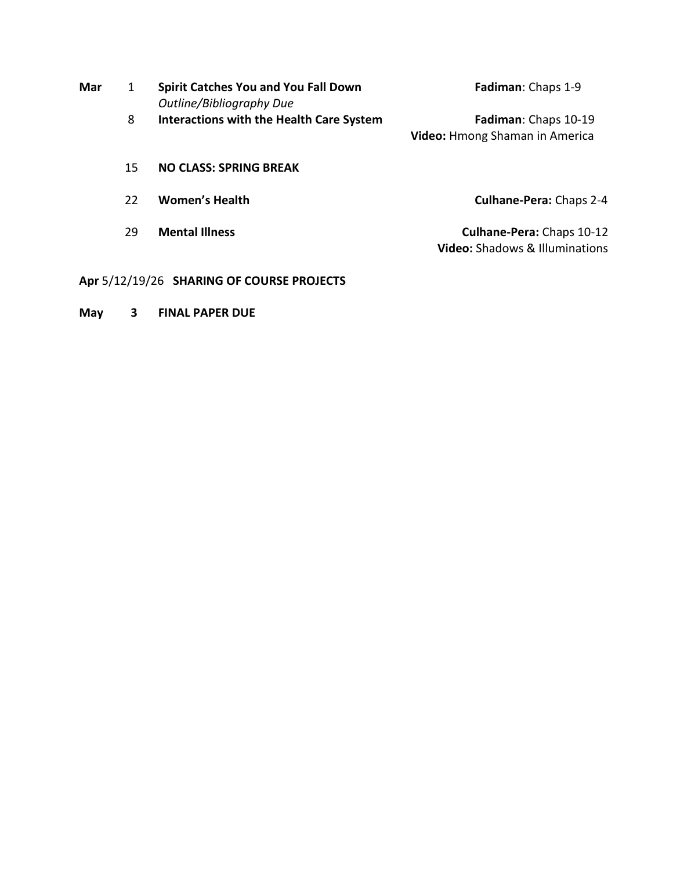| Mar | 1  | Spirit Catches You and You Fall Down<br>Outline/Bibliography Due | Fadiman: Chaps 1-9                                                 |
|-----|----|------------------------------------------------------------------|--------------------------------------------------------------------|
|     | 8  | <b>Interactions with the Health Care System</b>                  | Fadiman: Chaps 10-19<br>Video: Hmong Shaman in America             |
|     | 15 | <b>NO CLASS: SPRING BREAK</b>                                    |                                                                    |
|     | 22 | <b>Women's Health</b>                                            | <b>Culhane-Pera: Chaps 2-4</b>                                     |
|     | 29 | <b>Mental Illness</b>                                            | Culhane-Pera: Chaps 10-12<br><b>Video:</b> Shadows & Illuminations |

**Apr** 5/12/19/26 **SHARING OF COURSE PROJECTS**

**May 3 FINAL PAPER DUE**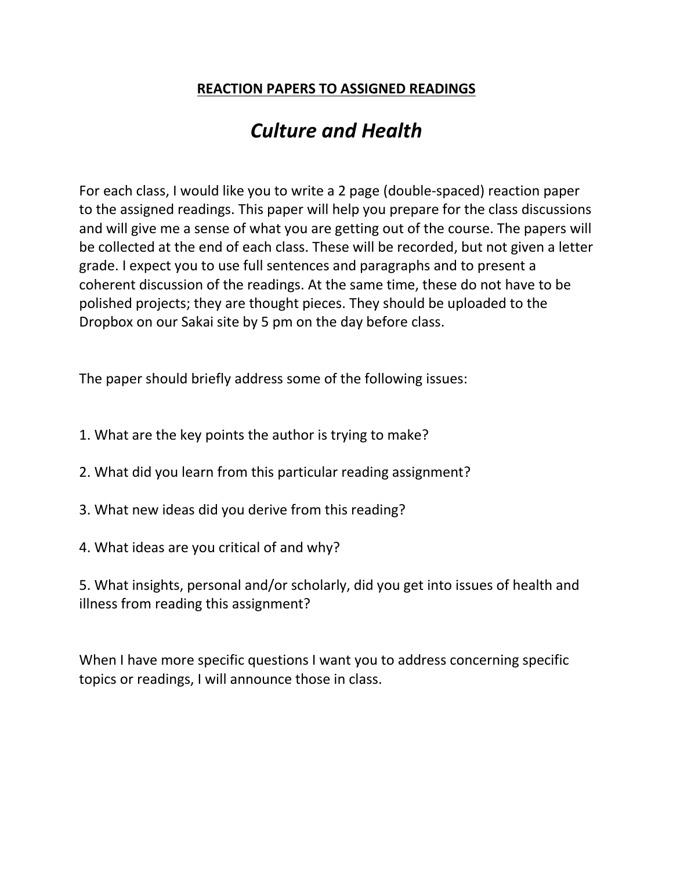## **REACTION PAPERS TO ASSIGNED READINGS**

# *Culture and Health*

For each class, I would like you to write a 2 page (double-spaced) reaction paper to the assigned readings. This paper will help you prepare for the class discussions and will give me a sense of what you are getting out of the course. The papers will be collected at the end of each class. These will be recorded, but not given a letter grade. I expect you to use full sentences and paragraphs and to present a coherent discussion of the readings. At the same time, these do not have to be polished projects; they are thought pieces. They should be uploaded to the Dropbox on our Sakai site by 5 pm on the day before class.

The paper should briefly address some of the following issues:

- 1. What are the key points the author is trying to make?
- 2. What did you learn from this particular reading assignment?
- 3. What new ideas did you derive from this reading?
- 4. What ideas are you critical of and why?

5. What insights, personal and/or scholarly, did you get into issues of health and illness from reading this assignment?

When I have more specific questions I want you to address concerning specific topics or readings, I will announce those in class.